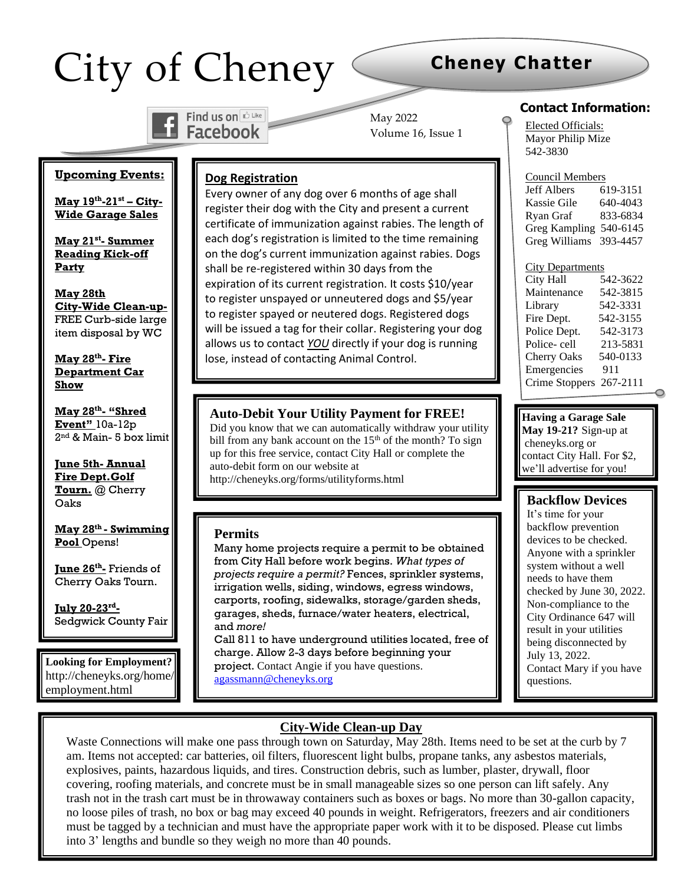# City of Cheney

# **Cheney Chatter**



May 2022 Volume 16, Issue 1

#### **Contact Information:**

Elected Officials: Mayor Philip Mize 542-3830

Council Members Jeff Albers 619-3151 Kassie Gile 640-4043 Ryan Graf 833-6834

#### **Upcoming Events:**

**May 19th -21st – City-Wide Garage Sales**

**May 21st - Summer Reading Kick-off Party**

**May 28th City-Wide Clean-up-**FREE Curb-side large item disposal by WC

**May 28th - Fire Department Car Show**

**May 28th - "Shred Event"** 10a-12p 2 nd & Main- 5 box limit

**June 5th- Annual Fire Dept.Golf Tourn.** @ Cherry Oaks

**May 28th - Swimming Pool** Opens!

**June 26 th -** Friends of Cherry Oaks Tourn.

**July 20-23rd -** Sedgwick County Fair

**Looking for Employment?** http://cheneyks.org/home/ employment.html

**August13th**

## **Dog Registration**

Every owner of any dog over 6 months of age shall register their dog with the City and present a current certificate of immunization against rabies. The length of each dog's registration is limited to the time remaining on the dog's current immunization against rabies. Dogs shall be re-registered within 30 days from the expiration of its current registration. It costs \$10/year to register unspayed or unneutered dogs and \$5/year to register spayed or neutered dogs. Registered dogs will be issued a tag for their collar. Registering your dog allows us to contact *YOU* directly if your dog is running lose, instead of contacting Animal Control.

#### **Auto-Debit Your Utility Payment for FREE!**

Did you know that we can automatically withdraw your utility bill from any bank account on the  $15<sup>th</sup>$  of the month? To sign up for this free service, contact City Hall or complete the auto-debit form on our website at http://cheneyks.org/forms/utilityforms.html

#### **Permits**

Many home projects require a permit to be obtained from City Hall before work begins. *What types of projects require a permit?* Fences, sprinkler systems, irrigation wells, siding, windows, egress windows, carports, roofing, sidewalks, storage/garden sheds, garages, sheds, furnace/water heaters, electrical, and *more!*

Call 811 to have underground utilities located, free of charge. Allow 2-3 days before beginning your project. Contact Angie if you have questions. [agassmann@cheneyks.org](mailto:agassmann@cheneyks.org)

#### Greg Kampling 540-6145 Greg Williams 393-4457

| <b>City Departments</b> |          |
|-------------------------|----------|
| City Hall               | 542-3622 |
| Maintenance             | 542-3815 |
| Library                 | 542-3331 |
| Fire Dept.              | 542-3155 |
| Police Dept.            | 542-3173 |
| Police-cell             | 213-5831 |
| <b>Cherry Oaks</b>      | 540-0133 |
| Emergencies             | 911      |

Crime Stoppers 267-2111

**Having a Garage Sale**

**May 19-21?** Sign-up at cheneyks.org or contact City Hall. For \$2, we'll advertise for you!

#### **Backflow Devices**

It's time for your backflow prevention devices to be checked. Anyone with a sprinkler system without a well needs to have them checked by June 30, 2022. Non-compliance to the City Ordinance 647 will result in your utilities being disconnected by July 13, 2022. Contact Mary if you have questions. mbronston and cheneyks.

#### **City-Wide Clean-up Day**

Waste Connections will make one pass through town on Saturday, May 28th. Items need to be set at the curb by 7 am. Items not accepted: car batteries, oil filters, fluorescent light bulbs, propane tanks, any asbestos materials, explosives, paints, hazardous liquids, and tires. Construction debris, such as lumber, plaster, drywall, floor covering, roofing materials, and concrete must be in small manageable sizes so one person can lift safely. Any trash not in the trash cart must be in throwaway containers such as boxes or bags. No more than 30-gallon capacity, no loose piles of trash, no box or bag may exceed 40 pounds in weight. Refrigerators, freezers and air conditioners must be tagged by a technician and must have the appropriate paper work with it to be disposed. Please cut limbs into 3' lengths and bundle so they weigh no more than 40 pounds.